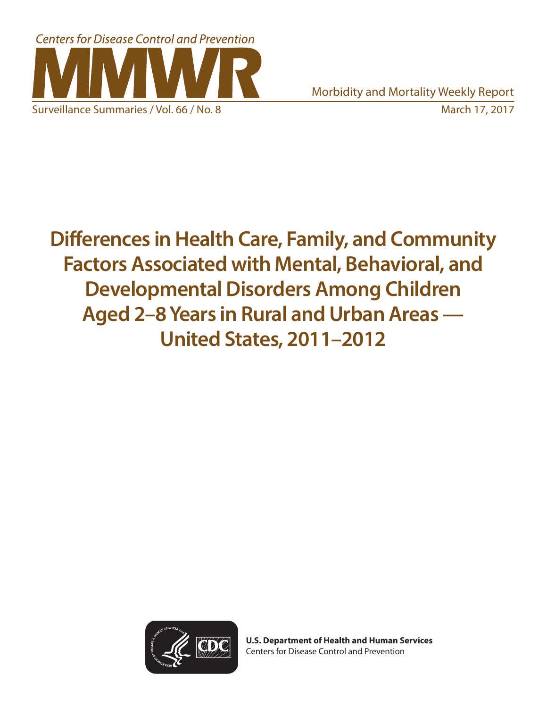

**Differences in Health Care, Family, and Community Factors Associated with Mental, Behavioral, and Developmental Disorders Among Children Aged 2–8 Years in Rural and Urban Areas — United States, 2011–2012**



**U.S. Department of Health and Human Services** Centers for Disease Control and Prevention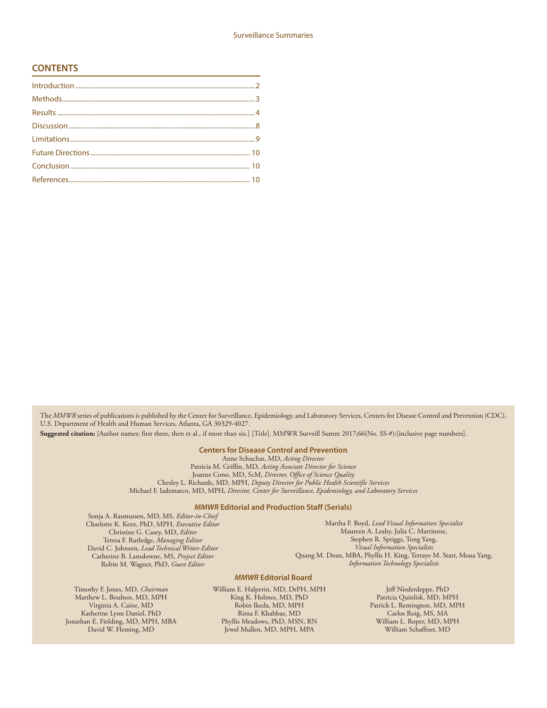### **CONTENTS**

The *MMWR* series of publications is published by the Center for Surveillance, Epidemiology, and Laboratory Services, Centers for Disease Control and Prevention (CDC), U.S. Department of Health and Human Services, Atlanta, GA 30329-4027.

**Suggested citation:** [Author names; first three, then et al., if more than six.] [Title]. MMWR Surveill Summ 2017;66(No. SS-#):[inclusive page numbers].

### **Centers for Disease Control and Prevention**

Anne Schuchat, MD, *Acting Director* Patricia M. Griffin, MD, *Acting Associate Director for Science* Joanne Cono, MD, ScM, *Director, Office of Science Quality*  Chesley L. Richards, MD, MPH, *Deputy Director for Public Health Scientific Services* Michael F. Iademarco, MD, MPH, *Director, Center for Surveillance, Epidemiology, and Laboratory Services*

### *MMWR* **Editorial and Production Staff (Serials)**

Sonja A. Rasmussen, MD, MS, *Editor-in-Chief* Charlotte K. Kent, PhD, MPH, *Executive Editor* Christine G. Casey, MD, *Editor* Teresa F. Rutledge, *Managing Editor* David C. Johnson, *Lead Technical Writer-Editor* Catherine B. Lansdowne, MS, *Project Editor* Robin M. Wagner, PhD, *Guest Editor*

Martha F. Boyd, *Lead Visual Information Specialist* Maureen A. Leahy, Julia C. Martinroe, Stephen R. Spriggs, Tong Yang, *Visual Information Specialists* Quang M. Doan, MBA, Phyllis H. King, Terraye M. Starr, Moua Yang, *Information Technology Specialists*

### *MMWR* **Editorial Board**

Timothy F. Jones, MD, *Chairman* Matthew L. Boulton, MD, MPH Virginia A. Caine, MD Katherine Lyon Daniel, PhD Jonathan E. Fielding, MD, MPH, MBA David W. Fleming, MD

William E. Halperin, MD, DrPH, MPH King K. Holmes, MD, PhD Robin Ikeda, MD, MPH Rima F. Khabbaz, MD Phyllis Meadows, PhD, MSN, RN Jewel Mullen, MD, MPH, MPA

Jeff Niederdeppe, PhD Patricia Quinlisk, MD, MPH Patrick L. Remington, MD, MPH Carlos Roig, MS, MA William L. Roper, MD, MPH William Schaffner, MD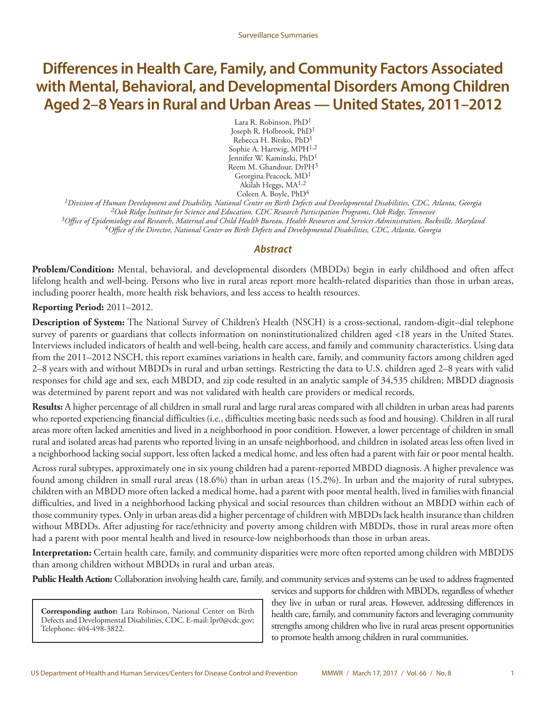# **Differences in Health Care, Family, and Community Factors Associated with Mental, Behavioral, and Developmental Disorders Among Children Aged 2–8 Years in Rural and Urban Areas — United States, 2011–2012**

Lara R. Robinson, PhD<sup>1</sup> Joseph R. Holbrook, PhD<sup>1</sup> Rebecca H. Bitsko, PhD<sup>1</sup> Sophie A. Hartwig, MPH<sup>1,2</sup> Jennifer W. Kaminski, PhD1 Reem M. Ghandour, DrPH3 Georgina Peacock, MD1 Akilah Heggs, MA1,2 Coleen A. Boyle, PhD<sup>4</sup>

*1Division of Human Development and Disability, National Center on Birth Defects and Developmental Disabilities, CDC, Atlanta, Georgia 2Oak Ridge Institute for Science and Education, CDC Research Participation Programs, Oak Ridge, Tennessee* <sup>3</sup>Office of Epidemiology and Research, Maternal and Child Health Bureau, Health Resources and Services Administration, Rockville, Maryland<br><sup>4</sup>Office of the Director, National Center on Birth Defects and Developmental Disa

### *Abstract*

**Problem/Condition:** Mental, behavioral, and developmental disorders (MBDDs) begin in early childhood and often affect lifelong health and well-being. Persons who live in rural areas report more health-related disparities than those in urban areas, including poorer health, more health risk behaviors, and less access to health resources.

**Reporting Period:** 2011–2012.

**Description of System:** The National Survey of Children's Health (NSCH) is a cross-sectional, random-digit–dial telephone survey of parents or guardians that collects information on noninstitutionalized children aged <18 years in the United States. Interviews included indicators of health and well-being, health care access, and family and community characteristics. Using data from the 2011–2012 NSCH, this report examines variations in health care, family, and community factors among children aged 2–8 years with and without MBDDs in rural and urban settings. Restricting the data to U.S. children aged 2–8 years with valid responses for child age and sex, each MBDD, and zip code resulted in an analytic sample of 34,535 children; MBDD diagnosis was determined by parent report and was not validated with health care providers or medical records.

**Results:** A higher percentage of all children in small rural and large rural areas compared with all children in urban areas had parents who reported experiencing financial difficulties (i.e., difficulties meeting basic needs such as food and housing). Children in all rural areas more often lacked amenities and lived in a neighborhood in poor condition. However, a lower percentage of children in small rural and isolated areas had parents who reported living in an unsafe neighborhood, and children in isolated areas less often lived in a neighborhood lacking social support, less often lacked a medical home, and less often had a parent with fair or poor mental health.

Across rural subtypes, approximately one in six young children had a parent-reported MBDD diagnosis. A higher prevalence was found among children in small rural areas (18.6%) than in urban areas (15.2%). In urban and the majority of rural subtypes, children with an MBDD more often lacked a medical home, had a parent with poor mental health, lived in families with financial difficulties, and lived in a neighborhood lacking physical and social resources than children without an MBDD within each of those community types. Only in urban areas did a higher percentage of children with MBDDs lack health insurance than children without MBDDs. After adjusting for race/ethnicity and poverty among children with MBDDs, those in rural areas more often had a parent with poor mental health and lived in resource-low neighborhoods than those in urban areas.

**Interpretation:** Certain health care, family, and community disparities were more often reported among children with MBDDS than among children without MBDDs in rural and urban areas.

**Public Health Action:** Collaboration involving health care, family, and community services and systems can be used to address fragmented

**Corresponding author:** Lara Robinson, National Center on Birth Defects and Developmental Disabilities, CDC. E-mail: [lpr0@cdc.gov;](mailto:lpr0@cdc.gov) Telephone: 404-498-3822.

services and supports for children with MBDDs, regardless of whether they live in urban or rural areas. However, addressing differences in health care, family, and community factors and leveraging community strengths among children who live in rural areas present opportunities to promote health among children in rural communities.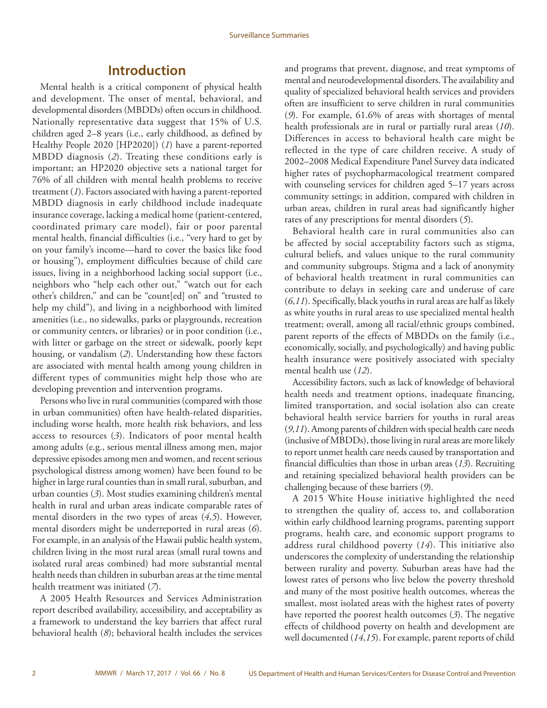## **Introduction**

<span id="page-3-0"></span>Mental health is a critical component of physical health and development. The onset of mental, behavioral, and developmental disorders (MBDDs) often occurs in childhood. Nationally representative data suggest that 15% of U.S. children aged 2–8 years (i.e., early childhood, as defined by Healthy People 2020 [HP2020]) (*1*) have a parent-reported MBDD diagnosis (*2*). Treating these conditions early is important; an HP2020 objective sets a national target for 76% of all children with mental health problems to receive treatment (*1*). Factors associated with having a parent-reported MBDD diagnosis in early childhood include inadequate insurance coverage, lacking a medical home (patient-centered, coordinated primary care model), fair or poor parental mental health, financial difficulties (i.e., "very hard to get by on your family's income—hard to cover the basics like food or housing"), employment difficulties because of child care issues, living in a neighborhood lacking social support (i.e., neighbors who "help each other out," "watch out for each other's children," and can be "count[ed] on" and "trusted to help my child"), and living in a neighborhood with limited amenities (i.e., no sidewalks, parks or playgrounds, recreation or community centers, or libraries) or in poor condition (i.e., with litter or garbage on the street or sidewalk, poorly kept housing, or vandalism (*2*). Understanding how these factors are associated with mental health among young children in different types of communities might help those who are developing prevention and intervention programs.

Persons who live in rural communities (compared with those in urban communities) often have health-related disparities, including worse health, more health risk behaviors, and less access to resources (*3*). Indicators of poor mental health among adults (e.g., serious mental illness among men, major depressive episodes among men and women, and recent serious psychological distress among women) have been found to be higher in large rural counties than in small rural, suburban, and urban counties (*3*). Most studies examining children's mental health in rural and urban areas indicate comparable rates of mental disorders in the two types of areas (*4*,*5*). However, mental disorders might be underreported in rural areas (*6*). For example, in an analysis of the Hawaii public health system, children living in the most rural areas (small rural towns and isolated rural areas combined) had more substantial mental health needs than children in suburban areas at the time mental health treatment was initiated (*7*).

A 2005 Health Resources and Services Administration report described availability, accessibility, and acceptability as a framework to understand the key barriers that affect rural behavioral health (*8*); behavioral health includes the services and programs that prevent, diagnose, and treat symptoms of mental and neurodevelopmental disorders. The availability and quality of specialized behavioral health services and providers often are insufficient to serve children in rural communities (*9*). For example, 61.6% of areas with shortages of mental health professionals are in rural or partially rural areas (*10*). Differences in access to behavioral health care might be reflected in the type of care children receive. A study of 2002–2008 Medical Expenditure Panel Survey data indicated higher rates of psychopharmacological treatment compared with counseling services for children aged 5–17 years across community settings; in addition, compared with children in urban areas, children in rural areas had significantly higher rates of any prescriptions for mental disorders (*5*).

Behavioral health care in rural communities also can be affected by social acceptability factors such as stigma, cultural beliefs, and values unique to the rural community and community subgroups. Stigma and a lack of anonymity of behavioral health treatment in rural communities can contribute to delays in seeking care and underuse of care (*6*,*11*). Specifically, black youths in rural areas are half as likely as white youths in rural areas to use specialized mental health treatment; overall, among all racial/ethnic groups combined, parent reports of the effects of MBDDs on the family (i.e., economically, socially, and psychologically) and having public health insurance were positively associated with specialty mental health use (*12*).

Accessibility factors, such as lack of knowledge of behavioral health needs and treatment options, inadequate financing, limited transportation, and social isolation also can create behavioral health service barriers for youths in rural areas (*9*,*11*). Among parents of children with special health care needs (inclusive of MBDDs), those living in rural areas are more likely to report unmet health care needs caused by transportation and financial difficulties than those in urban areas (*13*). Recruiting and retaining specialized behavioral health providers can be challenging because of these barriers (*9*).

A 2015 White House initiative highlighted the need to strengthen the quality of, access to, and collaboration within early childhood learning programs, parenting support programs, health care, and economic support programs to address rural childhood poverty (*14*). This initiative also underscores the complexity of understanding the relationship between rurality and poverty. Suburban areas have had the lowest rates of persons who live below the poverty threshold and many of the most positive health outcomes, whereas the smallest, most isolated areas with the highest rates of poverty have reported the poorest health outcomes (*3*). The negative effects of childhood poverty on health and development are well documented (*14*,*15*). For example, parent reports of child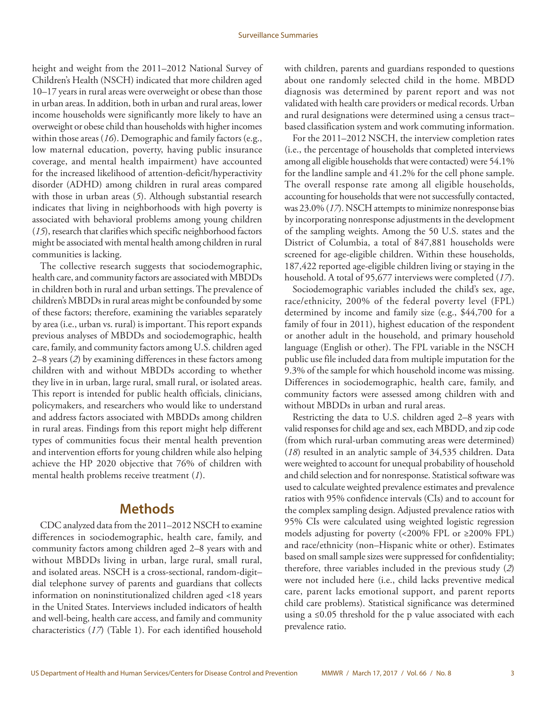<span id="page-4-0"></span>height and weight from the 2011–2012 National Survey of Children's Health (NSCH) indicated that more children aged 10–17 years in rural areas were overweight or obese than those in urban areas. In addition, both in urban and rural areas, lower income households were significantly more likely to have an overweight or obese child than households with higher incomes within those areas (*16*). Demographic and family factors (e.g., low maternal education, poverty, having public insurance coverage, and mental health impairment) have accounted for the increased likelihood of attention-deficit/hyperactivity disorder (ADHD) among children in rural areas compared with those in urban areas (*5*). Although substantial research indicates that living in neighborhoods with high poverty is associated with behavioral problems among young children (*15*), research that clarifies which specific neighborhood factors might be associated with mental health among children in rural communities is lacking.

The collective research suggests that sociodemographic, health care, and community factors are associated with MBDDs in children both in rural and urban settings. The prevalence of children's MBDDs in rural areas might be confounded by some of these factors; therefore, examining the variables separately by area (i.e., urban vs. rural) is important. This report expands previous analyses of MBDDs and sociodemographic, health care, family, and community factors among U.S. children aged 2–8 years (*2*) by examining differences in these factors among children with and without MBDDs according to whether they live in in urban, large rural, small rural, or isolated areas. This report is intended for public health officials, clinicians, policymakers, and researchers who would like to understand and address factors associated with MBDDs among children in rural areas. Findings from this report might help different types of communities focus their mental health prevention and intervention efforts for young children while also helping achieve the HP 2020 objective that 76% of children with mental health problems receive treatment (*1*).

## **Methods**

CDC analyzed data from the 2011–2012 NSCH to examine differences in sociodemographic, health care, family, and community factors among children aged 2–8 years with and without MBDDs living in urban, large rural, small rural, and isolated areas. NSCH is a cross-sectional, random-digit– dial telephone survey of parents and guardians that collects information on noninstitutionalized children aged <18 years in the United States. Interviews included indicators of health and well-being, health care access, and family and community characteristics (*17*) (Table 1). For each identified household with children, parents and guardians responded to questions about one randomly selected child in the home. MBDD diagnosis was determined by parent report and was not validated with health care providers or medical records. Urban and rural designations were determined using a census tract– based classification system and work commuting information.

For the 2011–2012 NSCH, the interview completion rates (i.e., the percentage of households that completed interviews among all eligible households that were contacted) were 54.1% for the landline sample and 41.2% for the cell phone sample. The overall response rate among all eligible households, accounting for households that were not successfully contacted, was 23.0% (*17*). NSCH attempts to minimize nonresponse bias by incorporating nonresponse adjustments in the development of the sampling weights. Among the 50 U.S. states and the District of Columbia, a total of 847,881 households were screened for age-eligible children. Within these households, 187,422 reported age-eligible children living or staying in the household. A total of 95,677 interviews were completed (*17*).

Sociodemographic variables included the child's sex, age, race/ethnicity, 200% of the federal poverty level (FPL) determined by income and family size (e.g., \$44,700 for a family of four in 2011), highest education of the respondent or another adult in the household, and primary household language (English or other). The FPL variable in the NSCH public use file included data from multiple imputation for the 9.3% of the sample for which household income was missing. Differences in sociodemographic, health care, family, and community factors were assessed among children with and without MBDDs in urban and rural areas.

Restricting the data to U.S. children aged 2–8 years with valid responses for child age and sex, each MBDD, and zip code (from which rural-urban commuting areas were determined) (*18*) resulted in an analytic sample of 34,535 children. Data were weighted to account for unequal probability of household and child selection and for nonresponse. Statistical software was used to calculate weighted prevalence estimates and prevalence ratios with 95% confidence intervals (CIs) and to account for the complex sampling design. Adjusted prevalence ratios with 95% CIs were calculated using weighted logistic regression models adjusting for poverty (<200% FPL or ≥200% FPL) and race/ethnicity (non–Hispanic white or other). Estimates based on small sample sizes were suppressed for confidentiality; therefore, three variables included in the previous study (*2*) were not included here (i.e., child lacks preventive medical care, parent lacks emotional support, and parent reports child care problems). Statistical significance was determined using a ≤0.05 threshold for the p value associated with each prevalence ratio.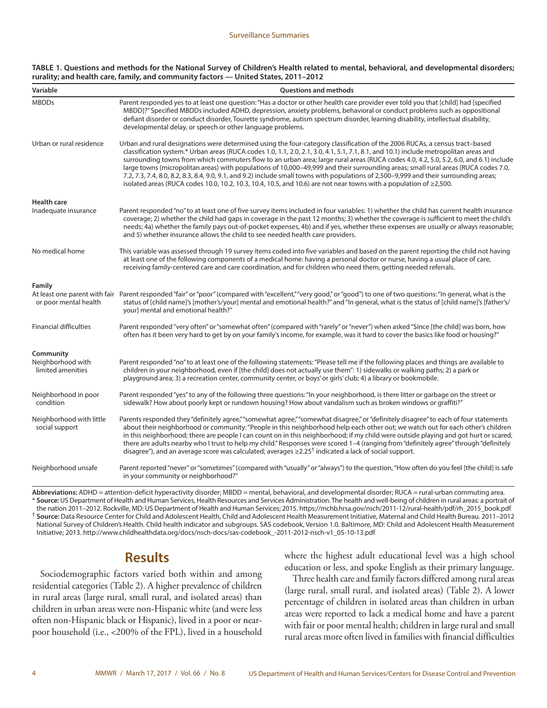### <span id="page-5-0"></span>**TABLE 1. Questions and methods for the National Survey of Children's Health related to mental, behavioral, and developmental disorders; rurality; and health care, family, and community factors — United States, 2011–2012**

| Variable                                            | <b>Questions and methods</b>                                                                                                                                                                                                                                                                                                                                                                                                                                                                                                                                                                                                                                                                                                                                                                                              |
|-----------------------------------------------------|---------------------------------------------------------------------------------------------------------------------------------------------------------------------------------------------------------------------------------------------------------------------------------------------------------------------------------------------------------------------------------------------------------------------------------------------------------------------------------------------------------------------------------------------------------------------------------------------------------------------------------------------------------------------------------------------------------------------------------------------------------------------------------------------------------------------------|
| <b>MBDDs</b>                                        | Parent responded yes to at least one question: "Has a doctor or other health care provider ever told you that [child] had [specified<br>MBDD]?" Specified MBDDs included ADHD, depression, anxiety problems, behavioral or conduct problems such as oppositional<br>defiant disorder or conduct disorder, Tourette syndrome, autism spectrum disorder, learning disability, intellectual disability,<br>developmental delay, or speech or other language problems.                                                                                                                                                                                                                                                                                                                                                        |
| Urban or rural residence                            | Urban and rural designations were determined using the four-category classification of the 2006 RUCAs, a census tract-based<br>classification system.* Urban areas (RUCA codes 1.0, 1.1, 2.0, 2.1, 3.0, 4.1, 5.1, 7.1, 8.1, and 10.1) include metropolitan areas and<br>surrounding towns from which commuters flow to an urban area; large rural areas (RUCA codes 4.0, 4.2, 5.0, 5.2, 6.0, and 6.1) include<br>large towns (micropolitan areas) with populations of 10,000–49,999 and their surrounding areas; small rural areas (RUCA codes 7.0,<br>7.2, 7.3, 7.4, 8.0, 8.2, 8.3, 8.4, 9.0, 9.1, and 9.2) include small towns with populations of 2,500-9,999 and their surrounding areas;<br>isolated areas (RUCA codes 10.0, 10.2, 10.3, 10.4, 10.5, and 10.6) are not near towns with a population of $\geq$ 2,500. |
| <b>Health care</b>                                  |                                                                                                                                                                                                                                                                                                                                                                                                                                                                                                                                                                                                                                                                                                                                                                                                                           |
| Inadequate insurance                                | Parent responded "no" to at least one of five survey items included in four variables: 1) whether the child has current health insurance<br>coverage; 2) whether the child had gaps in coverage in the past 12 months; 3) whether the coverage is sufficient to meet the child's<br>needs; 4a) whether the family pays out-of-pocket expenses, 4b) and if yes, whether these expenses are usually or always reasonable;<br>and 5) whether insurance allows the child to see needed health care providers.                                                                                                                                                                                                                                                                                                                 |
| No medical home                                     | This variable was assessed through 19 survey items coded into five variables and based on the parent reporting the child not having<br>at least one of the following components of a medical home: having a personal doctor or nurse, having a usual place of care,<br>receiving family-centered care and care coordination, and for children who need them, getting needed referrals.                                                                                                                                                                                                                                                                                                                                                                                                                                    |
| <b>Family</b><br>or poor mental health              | At least one parent with fair Parent responded "fair" or "poor" (compared with "excellent," "very good," or "good") to one of two questions: "In general, what is the<br>status of [child name]'s [mother's/your] mental and emotional health?" and "In general, what is the status of [child name]'s [father's/<br>your] mental and emotional health?"                                                                                                                                                                                                                                                                                                                                                                                                                                                                   |
| <b>Financial difficulties</b>                       | Parent responded "very often" or "somewhat often" (compared with "rarely" or "never") when asked "Since [the child] was born, how<br>often has it been very hard to get by on your family's income, for example, was it hard to cover the basics like food or housing?"                                                                                                                                                                                                                                                                                                                                                                                                                                                                                                                                                   |
| Community<br>Neighborhood with<br>limited amenities | Parent responded "no" to at least one of the following statements: "Please tell me if the following places and things are available to<br>children in your neighborhood, even if [the child] does not actually use them": 1) sidewalks or walking paths; 2) a park or<br>playground area; 3) a recreation center, community center, or boys' or girls' club; 4) a library or bookmobile.                                                                                                                                                                                                                                                                                                                                                                                                                                  |
| Neighborhood in poor<br>condition                   | Parent responded "yes" to any of the following three questions: "In your neighborhood, is there litter or garbage on the street or<br>sidewalk? How about poorly kept or rundown housing? How about vandalism such as broken windows or graffiti?"                                                                                                                                                                                                                                                                                                                                                                                                                                                                                                                                                                        |
| Neighborhood with little<br>social support          | Parents responded they "definitely agree," "somewhat agree," "somewhat disagree," or "definitely disagree" to each of four statements<br>about their neighborhood or community: "People in this neighborhood help each other out; we watch out for each other's children<br>in this neighborhood; there are people I can count on in this neighborhood; if my child were outside playing and got hurt or scared,<br>there are adults nearby who I trust to help my child." Responses were scored 1-4 (ranging from "definitely agree" through "definitely<br>disagree"), and an average score was calculated; averages $\geq$ 2.25 <sup>†</sup> indicated a lack of social support.                                                                                                                                       |
| Neighborhood unsafe                                 | Parent reported "never" or "sometimes" (compared with "usually" or "always") to the question, "How often do you feel [the child] is safe<br>in your community or neighborhood?"                                                                                                                                                                                                                                                                                                                                                                                                                                                                                                                                                                                                                                           |

**Abbreviations:** ADHD = attention-deficit hyperactivity disorder; MBDD = mental, behavioral, and developmental disorder; RUCA = rural-urban commuting area. \* **Source:** US Department of Health and Human Services, Health Resources and Services Administration. The health and well-being of children in rural areas: a portrait of the nation 2011–2012. Rockville, MD: US Department of Health and Human Services; 2015. [https://mchb.hrsa.gov/nsch/2011-12/rural-health/pdf/rh\\_2015\\_book.pdf](https://mchb.hrsa.gov/nsch/2011-12/rural-health/pdf/rh_2015_book.pdf) † **Source:** Data Resource Center for Child and Adolescent Health, Child and Adolescent Health Measurement Initiative, Maternal and Child Health Bureau. 2011–2012 National Survey of Children's Health. Child health indicator and subgroups. SAS codebook, Version 1.0. Baltimore, MD: Child and Adolescent Health Measurement Initiative; 2013. [http://www.childhealthdata.org/docs/nsch-docs/sas-codebook\\_-2011-2012-nsch-v1\\_05-10-13.pdf](http://www.childhealthdata.org/docs/nsch-docs/sas-codebook_-2011-2012-nsch-v1_05-10-13.pdf)

## **Results**

Sociodemographic factors varied both within and among residential categories (Table 2). A higher prevalence of children in rural areas (large rural, small rural, and isolated areas) than children in urban areas were non-Hispanic white (and were less often non-Hispanic black or Hispanic), lived in a poor or nearpoor household (i.e., <200% of the FPL), lived in a household where the highest adult educational level was a high school education or less, and spoke English as their primary language.

Three health care and family factors differed among rural areas (large rural, small rural, and isolated areas) (Table 2). A lower percentage of children in isolated areas than children in urban areas were reported to lack a medical home and have a parent with fair or poor mental health; children in large rural and small rural areas more often lived in families with financial difficulties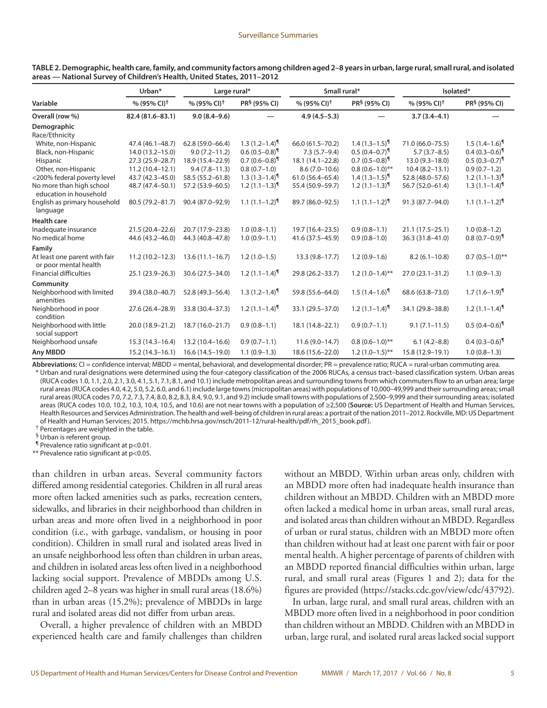|                                                        | Urban*                  | Large rural*            |                                | Small rural*            |                             | Isolated*               |                             |
|--------------------------------------------------------|-------------------------|-------------------------|--------------------------------|-------------------------|-----------------------------|-------------------------|-----------------------------|
| Variable                                               | % (95% CI) <sup>†</sup> | % (95% CI) <sup>+</sup> | PR <sup>§</sup> (95% CI)       | % (95% CI) <sup>†</sup> | PR <sup>§</sup> (95% CI)    | % (95% CI) <sup>+</sup> | PR <sup>§</sup> (95% CI)    |
| Overall (row %)                                        | 82.4 (81.6-83.1)        | $9.0(8.4-9.6)$          |                                | $4.9(4.5-5.3)$          |                             | $3.7(3.4 - 4.1)$        |                             |
| Demographic                                            |                         |                         |                                |                         |                             |                         |                             |
| Race/Ethnicity                                         |                         |                         |                                |                         |                             |                         |                             |
| White, non-Hispanic                                    | 47.4 (46.1-48.7)        | $62.8(59.0 - 66.4)$     | $1.3(1.2-1.4)$ <sup>¶</sup>    | 66.0 (61.5 - 70.2)      | $1.4(1.3-1.5)^{1}$          | 71.0 (66.0-75.5)        | $1.5(1.4-1.6)$ <sup>1</sup> |
| Black, non-Hispanic                                    | $14.0(13.2 - 15.0)$     | $9.0(7.2 - 11.2)$       | $0.6(0.5-0.8)$ <sup>1</sup>    | $7.3(5.7-9.4)$          | $0.5(0.4-0.7)^{9}$          | $5.7(3.7-8.5)$          | $0.4(0.3-0.6)$              |
| Hispanic                                               | $27.3(25.9 - 28.7)$     | 18.9 (15.4-22.9)        | $0.7(0.6-0.8)$                 | $18.1(14.1 - 22.8)$     | $0.7(0.5-0.8)$              | $13.0(9.3 - 18.0)$      | $0.5(0.3-0.7)$              |
| Other, non-Hispanic                                    | $11.2(10.4-12.1)$       | $9.4(7.8 - 11.3)$       | $0.8(0.7-1.0)$                 | $8.6(7.0-10.6)$         | $0.8(0.6-1.0)$ **           | $10.4(8.2 - 13.1)$      | $0.9(0.7-1.2)$              |
| <200% federal poverty level                            | 43.7 (42.3-45.0)        | 58.5 (55.2-61.8)        | $1.3(1.3-1.4)$ <sup>[1</sup> ] | $61.0(56.4 - 65.4)$     | $1.4(1.3-1.5)^{9}$          | 52.8 (48.0-57.6)        | $1.2(1.1-1.3)$              |
| No more than high school<br>education in household     | 48.7 (47.4-50.1)        | 57.2 (53.9-60.5)        | $1.2(1.1-1.3)^9$               | 55.4 (50.9-59.7)        | $1.2(1.1-1.3)^9$            | 56.7 (52.0-61.4)        | $1.3(1.1-1.4)$              |
| English as primary household<br>language               | 80.5 (79.2-81.7)        | 90.4 (87.0-92.9)        | $1.1(1.1-1.2)$ <sup>[1</sup> ] | 89.7 (86.0-92.5)        | $1.1(1.1-1.2)$              | 91.3 (87.7-94.0)        | $1.1 (1.1 - 1.2)^T$         |
| <b>Health care</b>                                     |                         |                         |                                |                         |                             |                         |                             |
| Inadequate insurance                                   | 21.5 (20.4-22.6)        | 20.7 (17.9-23.8)        | $1.0(0.8-1.1)$                 | 19.7 (16.4-23.5)        | $0.9(0.8-1.1)$              | $21.1(17.5-25.1)$       | $1.0(0.8-1.2)$              |
| No medical home                                        | 44.6 (43.2-46.0)        | 44.3 (40.8-47.8)        | $1.0(0.9-1.1)$                 | 41.6 (37.5 - 45.9)      | $0.9(0.8-1.0)$              | 36.3 (31.8-41.0)        | $0.8(0.7-0.9)$              |
| Family                                                 |                         |                         |                                |                         |                             |                         |                             |
| At least one parent with fair<br>or poor mental health | $11.2(10.2 - 12.3)$     | $13.6(11.1 - 16.7)$     | $1.2(1.0-1.5)$                 | $13.3(9.8 - 17.7)$      | $1.2(0.9-1.6)$              | $8.2(6.1 - 10.8)$       | $0.7(0.5-1.0)$ **           |
| <b>Financial difficulties</b>                          | 25.1 (23.9 - 26.3)      | 30.6 (27.5-34.0)        | $1.2(1.1-1.4)^{9}$             | 29.8 (26.2-33.7)        | $1.2(1.0-1.4)$ **           | $27.0(23.1 - 31.2)$     | $1.1(0.9-1.3)$              |
| Community                                              |                         |                         |                                |                         |                             |                         |                             |
| Neighborhood with limited<br>amenities                 | 39.4 (38.0-40.7)        | 52.8 (49.3-56.4)        | $1.3(1.2 - 1.4)$ <sup>1</sup>  | 59.8 (55.6-64.0)        | $1.5(1.4-1.6)$              | 68.6 (63.8-73.0)        | $1.7(1.6-1.9)$              |
| Neighborhood in poor<br>condition                      | 27.6 (26.4-28.9)        | 33.8 (30.4-37.3)        | $1.2(1.1-1.4)$ <sup>[1</sup> ] | 33.1 (29.5-37.0)        | $1.2(1.1-1.4)$ <sup>1</sup> | 34.1 (29.8-38.8)        | $1.2(1.1-1.4)$              |
| Neighborhood with little<br>social support             | 20.0 (18.9-21.2)        | $18.7(16.0 - 21.7)$     | $0.9(0.8-1.1)$                 | 18.1 (14.8-22.1)        | $0.9(0.7-1.1)$              | $9.1(7.1 - 11.5)$       | $0.5(0.4-0.6)$              |
| Neighborhood unsafe                                    | $15.3(14.3 - 16.4)$     | 13.2 (10.4-16.6)        | $0.9(0.7-1.1)$                 | $11.6(9.0 - 14.7)$      | $0.8(0.6-1.0)$ **           | $6.1(4.2 - 8.8)$        | $0.4(0.3-0.6)$              |
| Any MBDD                                               | $15.2(14.3 - 16.1)$     | $16.6(14.5-19.0)$       | $1.1(0.9-1.3)$                 | 18.6 (15.6-22.0)        | $1.2(1.0-1.5)$ **           | 15.8 (12.9-19.1)        | $1.0(0.8-1.3)$              |

**TABLE 2. Demographic, health care, family, and community factors among children aged 2–8 years in urban, large rural, small rural, and isolated areas — National Survey of Children's Health, United States, 2011–2012**

**Abbreviations:** CI = confidence interval; MBDD = mental, behavioral, and developmental disorder; PR = prevalence ratio; RUCA = rural-urban commuting area. \* Urban and rural designations were determined using the four-category classification of the 2006 RUCAs, a census tract–based classification system. Urban areas (RUCA codes 1.0, 1.1, 2.0, 2.1, 3.0, 4.1, 5.1, 7.1, 8.1, and 10.1) include metropolitan areas and surrounding towns from which commuters flow to an urban area; large rural areas (RUCA codes 4.0, 4.2, 5.0, 5.2, 6.0, and 6.1) include large towns (micropolitan areas) with populations of 10,000–49,999 and their surrounding areas; small rural areas (RUCA codes 7.0, 7.2, 7.3, 7.4, 8.0, 8.2, 8.3, 8.4, 9.0, 9.1, and 9.2) include small towns with populations of 2,500–9,999 and their surrounding areas; isolated areas (RUCA codes 10.0, 10.2, 10.3, 10.4, 10.5, and 10.6) are not near towns with a population of ≥2,500 (**Source:** US Department of Health and Human Services, Health Resources and Services Administration. The health and well-being of children in rural areas: a portrait of the nation 2011–2012. Rockville, MD: US Department of Health and Human Services; 2015. [https://mchb.hrsa.gov/nsch/2011-12/rural-health/pdf/rh\\_2015\\_book.pdf](https://mchb.hrsa.gov/nsch/2011-12/rural-health/pdf/rh_2015_book.pdf)).

† Percentages are weighted in the table.

§ Urban is referent group.

¶ Prevalence ratio significant at p<0.01.

\*\* Prevalence ratio significant at p<0.05.

than children in urban areas. Several community factors differed among residential categories. Children in all rural areas more often lacked amenities such as parks, recreation centers, sidewalks, and libraries in their neighborhood than children in urban areas and more often lived in a neighborhood in poor condition (i.e., with garbage, vandalism, or housing in poor condition). Children in small rural and isolated areas lived in an unsafe neighborhood less often than children in urban areas, and children in isolated areas less often lived in a neighborhood lacking social support. Prevalence of MBDDs among U.S. children aged 2–8 years was higher in small rural areas (18.6%) than in urban areas (15.2%); prevalence of MBDDs in large rural and isolated areas did not differ from urban areas.

Overall, a higher prevalence of children with an MBDD experienced health care and family challenges than children without an MBDD. Within urban areas only, children with an MBDD more often had inadequate health insurance than children without an MBDD. Children with an MBDD more often lacked a medical home in urban areas, small rural areas, and isolated areas than children without an MBDD. Regardless of urban or rural status, children with an MBDD more often than children without had at least one parent with fair or poor mental health. A higher percentage of parents of children with an MBDD reported financial difficulties within urban, large rural, and small rural areas (Figures 1 and 2); data for the figures are provided ([https://stacks.cdc.gov/view/cdc/43792\)](https://stacks.cdc.gov/view/cdc/43792).

In urban, large rural, and small rural areas, children with an MBDD more often lived in a neighborhood in poor condition than children without an MBDD. Children with an MBDD in urban, large rural, and isolated rural areas lacked social support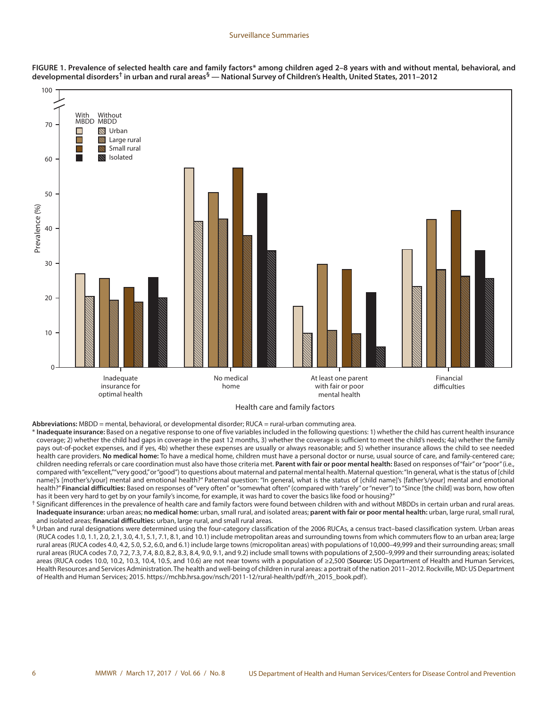

**FIGURE 1. Prevalence of selected health care and family factors\* among children aged 2–8 years with and without mental, behavioral, and developmental disorders† in urban and rural areas§ — National Survey of Children's Health, United States, 2011–2012**

**Abbreviations:** MBDD = mental, behavioral, or developmental disorder; RUCA = rural-urban commuting area.

- \* **Inadequate insurance:** Based on a negative response to one of five variables included in the following questions: 1) whether the child has current health insurance coverage; 2) whether the child had gaps in coverage in the past 12 months, 3) whether the coverage is sufficient to meet the child's needs; 4a) whether the family pays out-of-pocket expenses, and if yes, 4b) whether these expenses are usually or always reasonable; and 5) whether insurance allows the child to see needed health care providers. **No medical home:** To have a medical home, children must have a personal doctor or nurse, usual source of care, and family-centered care; children needing referrals or care coordination must also have those criteria met. **Parent with fair or poor mental health:** Based on responses of "fair" or "poor" (i.e., compared with "excellent," "very good," or "good") to questions about maternal and paternal mental health. Maternal question: "In general, what is the status of [child name]'s [mother's/your] mental and emotional health?" Paternal question: "In general, what is the status of [child name]'s [father's/your] mental and emotional health?" Financial difficulties: Based on responses of "very often" or "somewhat often" (compared with "rarely" or "never") to "Since [the child] was born, how often has it been very hard to get by on your family's income, for example, it was hard to cover the basics like food or housing?"
- † Significant differences in the prevalence of health care and family factors were found between children with and without MBDDs in certain urban and rural areas. **Inadequate insurance:** urban areas; **no medical home:** urban, small rural, and isolated areas; **parent with fair or poor mental health:** urban, large rural, small rural, and isolated areas; **financial difficulties:** urban, large rural, and small rural areas.
- $§$  Urban and rural designations were determined using the four-category classification of the 2006 RUCAs, a census tract–based classification system. Urban areas (RUCA codes 1.0, 1.1, 2.0, 2.1, 3.0, 4.1, 5.1, 7.1, 8.1, and 10.1) include metropolitan areas and surrounding towns from which commuters flow to an urban area; large rural areas (RUCA codes 4.0, 4.2, 5.0, 5.2, 6.0, and 6.1) include large towns (micropolitan areas) with populations of 10,000–49,999 and their surrounding areas; small rural areas (RUCA codes 7.0, 7.2, 7.3, 7.4, 8.0, 8.2, 8.3, 8.4, 9.0, 9.1, and 9.2) include small towns with populations of 2,500–9,999 and their surrounding areas; isolated areas (RUCA codes 10.0, 10.2, 10.3, 10.4, 10.5, and 10.6) are not near towns with a population of ≥2,500 (**Source:** US Department of Health and Human Services, Health Resources and Services Administration. The health and well-being of children in rural areas: a portrait of the nation 2011–2012. Rockville, MD: US Department of Health and Human Services; 2015. https://mchb.hrsa.gov/nsch/2011-12/rural-health/pdf/rh\_2015\_book.pdf).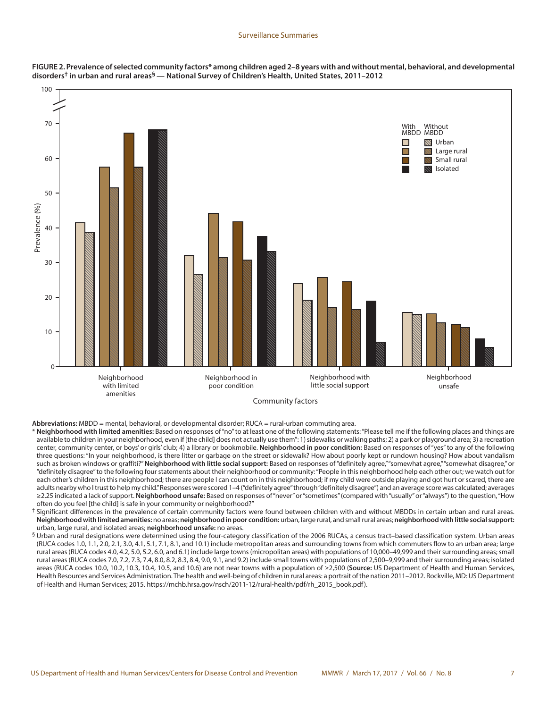#### Surveillance Summaries



**FIGURE 2. Prevalence of selected community factors\* among children aged 2–8 years with and without mental, behavioral, and developmental disorders† in urban and rural areas§ — National Survey of Children's Health, United States, 2011–2012**

**Abbreviations:** MBDD = mental, behavioral, or developmental disorder; RUCA = rural-urban commuting area.

- \* **Neighborhood with limited amenities:** Based on responses of "no" to at least one of the following statements: "Please tell me if the following places and things are available to children in your neighborhood, even if [the child] does not actually use them": 1) sidewalks or walking paths; 2) a park or playground area; 3) a recreation center, community center, or boys' or girls' club; 4) a library or bookmobile. **Neighborhood in poor condition:** Based on responses of "yes" to any of the following three questions: "In your neighborhood, is there litter or garbage on the street or sidewalk? How about poorly kept or rundown housing? How about vandalism such as broken windows or graffiti?" **Neighborhood with little social support:** Based on responses of "definitely agree," "somewhat agree," "somewhat disagree," or "definitely disagree" to the following four statements about their neighborhood or community: "People in this neighborhood help each other out; we watch out for each other's children in this neighborhood; there are people I can count on in this neighborhood; if my child were outside playing and got hurt or scared, there are adults nearby who I trust to help my child." Responses were scored 1-4 ("definitely agree" through "definitely disagree") and an average score was calculated; averages ≥2.25 indicated a lack of support. **Neighborhood unsafe:** Based on responses of "never" or "sometimes" (compared with "usually" or "always") to the question, "How often do you feel [the child] is safe in your community or neighborhood?"
- † Significant differences in the prevalence of certain community factors were found between children with and without MBDDs in certain urban and rural areas. **Neighborhood with limited amenities:** no areas; **neighborhood in poor condition:** urban, large rural, and small rural areas; **neighborhood with little social support:** urban, large rural, and isolated areas; **neighborhood unsafe:** no areas.<br>§ Urban and rural designations were determined using the four-category classification of the 2006 RUCAs, a census tract–based classification system.
- (RUCA codes 1.0, 1.1, 2.0, 2.1, 3.0, 4.1, 5.1, 7.1, 8.1, and 10.1) include metropolitan areas and surrounding towns from which commuters flow to an urban area; large rural areas (RUCA codes 4.0, 4.2, 5.0, 5.2, 6.0, and 6.1) include large towns (micropolitan areas) with populations of 10,000–49,999 and their surrounding areas; small rural areas (RUCA codes 7.0, 7.2, 7.3, 7.4, 8.0, 8.2, 8.3, 8.4, 9.0, 9.1, and 9.2) include small towns with populations of 2,500–9,999 and their surrounding areas; isolated areas (RUCA codes 10.0, 10.2, 10.3, 10.4, 10.5, and 10.6) are not near towns with a population of ≥2,500 (**Source:** US Department of Health and Human Services, Health Resources and Services Administration. The health and well-being of children in rural areas: a portrait of the nation 2011–2012. Rockville, MD: US Department of Health and Human Services; 2015. https://mchb.hrsa.gov/nsch/2011-12/rural-health/pdf/rh\_2015\_book.pdf).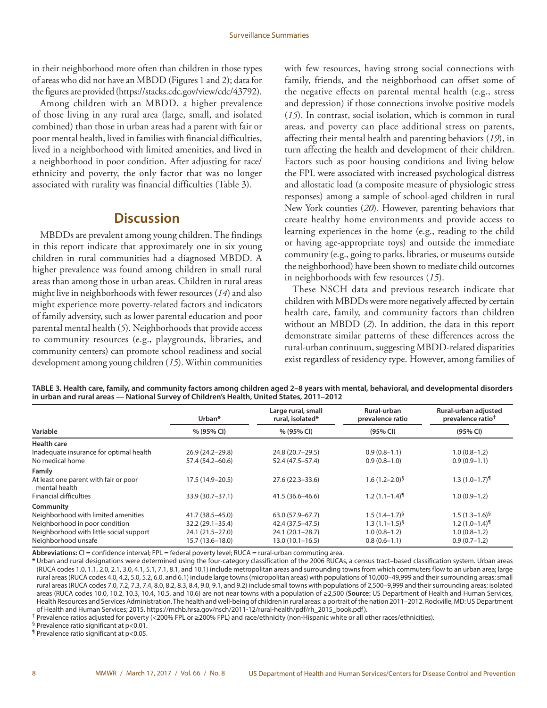<span id="page-9-0"></span>in their neighborhood more often than children in those types of areas who did not have an MBDD (Figures 1 and 2); data for the figures are provided [\(https://stacks.cdc.gov/view/cdc/43792](https://stacks.cdc.gov/view/cdc/43792)).

Among children with an MBDD, a higher prevalence of those living in any rural area (large, small, and isolated combined) than those in urban areas had a parent with fair or poor mental health, lived in families with financial difficulties, lived in a neighborhood with limited amenities, and lived in a neighborhood in poor condition. After adjusting for race/ ethnicity and poverty, the only factor that was no longer associated with rurality was financial difficulties (Table 3).

## **Discussion**

MBDDs are prevalent among young children. The findings in this report indicate that approximately one in six young children in rural communities had a diagnosed MBDD. A higher prevalence was found among children in small rural areas than among those in urban areas. Children in rural areas might live in neighborhoods with fewer resources (*14*) and also might experience more poverty-related factors and indicators of family adversity, such as lower parental education and poor parental mental health (*5*). Neighborhoods that provide access to community resources (e.g., playgrounds, libraries, and community centers) can promote school readiness and social development among young children (*15*). Within communities with few resources, having strong social connections with family, friends, and the neighborhood can offset some of the negative effects on parental mental health (e.g., stress and depression) if those connections involve positive models (*15*). In contrast, social isolation, which is common in rural areas, and poverty can place additional stress on parents, affecting their mental health and parenting behaviors (*19*), in turn affecting the health and development of their children. Factors such as poor housing conditions and living below the FPL were associated with increased psychological distress and allostatic load (a composite measure of physiologic stress responses) among a sample of school-aged children in rural New York counties (*20*). However, parenting behaviors that create healthy home environments and provide access to learning experiences in the home (e.g., reading to the child or having age-appropriate toys) and outside the immediate community (e.g., going to parks, libraries, or museums outside the neighborhood) have been shown to mediate child outcomes in neighborhoods with few resources (*15*).

These NSCH data and previous research indicate that children with MBDDs were more negatively affected by certain health care, family, and community factors than children without an MBDD (*2*). In addition, the data in this report demonstrate similar patterns of these differences across the rural-urban continuum, suggesting MBDD-related disparities exist regardless of residency type. However, among families of

**TABLE 3. Health care, family, and community factors among children aged 2–8 years with mental, behavioral, and developmental disorders in urban and rural areas — National Survey of Children's Health, United States, 2011–2012**

|                                                        | Urban*              | Large rural, small<br>rural, isolated* | Rural-urban<br>prevalence ratio | Rural-urban adjusted<br>prevalence ratio <sup>†</sup> |
|--------------------------------------------------------|---------------------|----------------------------------------|---------------------------------|-------------------------------------------------------|
| Variable                                               | % (95% CI)          | % (95% CI)                             | (95% CI)                        | (95% CI)                                              |
| <b>Health care</b>                                     |                     |                                        |                                 |                                                       |
| Inadequate insurance for optimal health                | 26.9 (24.2-29.8)    | 24.8 (20.7-29.5)                       | $0.9(0.8-1.1)$                  | $1.0(0.8-1.2)$                                        |
| No medical home                                        | 57.4 (54.2-60.6)    | 52.4 (47.5-57.4)                       | $0.9(0.8-1.0)$                  | $0.9(0.9-1.1)$                                        |
| Family                                                 |                     |                                        |                                 |                                                       |
| At least one parent with fair or poor<br>mental health | 17.5 (14.9-20.5)    | $27.6(22.3 - 33.6)$                    | $1.6(1.2-2.0)^5$                | $1.3(1.0-1.7)^{9}$                                    |
| <b>Financial difficulties</b>                          | 33.9 (30.7-37.1)    | 41.5 (36.6-46.6)                       | $1.2(1.1-1.4)^{9}$              | $1.0(0.9-1.2)$                                        |
| Community                                              |                     |                                        |                                 |                                                       |
| Neighborhood with limited amenities                    | 41.7 (38.5-45.0)    | 63.0 (57.9-67.7)                       | $1.5(1.4-1.7)^{5}$              | $1.5(1.3-1.6)^{5}$                                    |
| Neighborhood in poor condition                         | 32.2 (29.1-35.4)    | 42.4 (37.5 - 47.5)                     | $1.3(1.1-1.5)^5$                | $1.2(1.0-1.4)$ <sup>¶</sup>                           |
| Neighborhood with little social support                | 24.1 (21.5-27.0)    | 24.1 (20.1-28.7)                       | $1.0(0.8-1.2)$                  | $1.0(0.8-1.2)$                                        |
| Neighborhood unsafe                                    | $15.7(13.6 - 18.0)$ | 13.0 (10.1-16.5)                       | $0.8(0.6-1.1)$                  | $0.9(0.7-1.2)$                                        |

**Abbreviations:** CI = confidence interval; FPL = federal poverty level; RUCA = rural-urban commuting area.

**\*** Urban and rural designations were determined using the four-category classification of the 2006 RUCAs, a census tract–based classification system. Urban areas (RUCA codes 1.0, 1.1, 2.0, 2.1, 3.0, 4.1, 5.1, 7.1, 8.1, and 10.1) include metropolitan areas and surrounding towns from which commuters flow to an urban area; large rural areas (RUCA codes 4.0, 4.2, 5.0, 5.2, 6.0, and 6.1) include large towns (micropolitan areas) with populations of 10,000–49,999 and their surrounding areas; small rural areas (RUCA codes 7.0, 7.2, 7.3, 7.4, 8.0, 8.2, 8.3, 8.4, 9.0, 9.1, and 9.2) include small towns with populations of 2,500–9,999 and their surrounding areas; isolated areas (RUCA codes 10.0, 10.2, 10.3, 10.4, 10.5, and 10.6) are not near towns with a population of ≥2,500 (**Source:** US Department of Health and Human Services, Health Resources and Services Administration. The health and well-being of children in rural areas: a portrait of the nation 2011–2012. Rockville, MD: US Department of Health and Human Services; 2015. [https://mchb.hrsa.gov/nsch/2011-12/rural-health/pdf/rh\\_2015\\_book.pdf\)](https://mchb.hrsa.gov/nsch/2011-12/rural-health/pdf/rh_2015_book.pdf).

† Prevalence ratios adjusted for poverty (<200% FPL or ≥200% FPL) and race/ethnicity (non-Hispanic white or all other races/ethnicities).

§ Prevalence ratio significant at p<0.01.

¶ Prevalence ratio significant at p<0.05.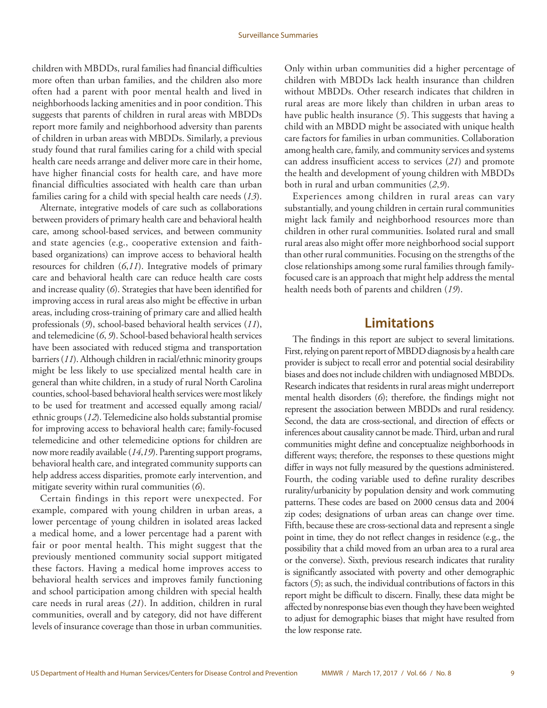<span id="page-10-0"></span>children with MBDDs, rural families had financial difficulties more often than urban families, and the children also more often had a parent with poor mental health and lived in neighborhoods lacking amenities and in poor condition. This suggests that parents of children in rural areas with MBDDs report more family and neighborhood adversity than parents of children in urban areas with MBDDs. Similarly, a previous study found that rural families caring for a child with special health care needs arrange and deliver more care in their home, have higher financial costs for health care, and have more financial difficulties associated with health care than urban families caring for a child with special health care needs (*13*).

Alternate, integrative models of care such as collaborations between providers of primary health care and behavioral health care, among school-based services, and between community and state agencies (e.g., cooperative extension and faithbased organizations) can improve access to behavioral health resources for children (*6*,*11*). Integrative models of primary care and behavioral health care can reduce health care costs and increase quality (*6*). Strategies that have been identified for improving access in rural areas also might be effective in urban areas, including cross-training of primary care and allied health professionals (*9*), school-based behavioral health services (*11*), and telemedicine (*6*, *9*). School-based behavioral health services have been associated with reduced stigma and transportation barriers (*11*). Although children in racial/ethnic minority groups might be less likely to use specialized mental health care in general than white children, in a study of rural North Carolina counties, school-based behavioral health services were most likely to be used for treatment and accessed equally among racial/ ethnic groups (*12*). Telemedicine also holds substantial promise for improving access to behavioral health care; family-focused telemedicine and other telemedicine options for children are now more readily available (*14*,*19*). Parenting support programs, behavioral health care, and integrated community supports can help address access disparities, promote early intervention, and mitigate severity within rural communities (*6*).

Certain findings in this report were unexpected. For example, compared with young children in urban areas, a lower percentage of young children in isolated areas lacked a medical home, and a lower percentage had a parent with fair or poor mental health. This might suggest that the previously mentioned community social support mitigated these factors. Having a medical home improves access to behavioral health services and improves family functioning and school participation among children with special health care needs in rural areas (*21*). In addition, children in rural communities, overall and by category, did not have different levels of insurance coverage than those in urban communities. Only within urban communities did a higher percentage of children with MBDDs lack health insurance than children without MBDDs. Other research indicates that children in rural areas are more likely than children in urban areas to have public health insurance (*5*). This suggests that having a child with an MBDD might be associated with unique health care factors for families in urban communities. Collaboration among health care, family, and community services and systems can address insufficient access to services (*21*) and promote the health and development of young children with MBDDs both in rural and urban communities (*2*,*9*).

Experiences among children in rural areas can vary substantially, and young children in certain rural communities might lack family and neighborhood resources more than children in other rural communities. Isolated rural and small rural areas also might offer more neighborhood social support than other rural communities. Focusing on the strengths of the close relationships among some rural families through familyfocused care is an approach that might help address the mental health needs both of parents and children (*19*).

## **Limitations**

The findings in this report are subject to several limitations. First, relying on parent report of MBDD diagnosis by a health care provider is subject to recall error and potential social desirability biases and does not include children with undiagnosed MBDDs. Research indicates that residents in rural areas might underreport mental health disorders (*6*); therefore, the findings might not represent the association between MBDDs and rural residency. Second, the data are cross-sectional, and direction of effects or inferences about causality cannot be made. Third, urban and rural communities might define and conceptualize neighborhoods in different ways; therefore, the responses to these questions might differ in ways not fully measured by the questions administered. Fourth, the coding variable used to define rurality describes rurality/urbanicity by population density and work commuting patterns. These codes are based on 2000 census data and 2004 zip codes; designations of urban areas can change over time. Fifth, because these are cross-sectional data and represent a single point in time, they do not reflect changes in residence (e.g., the possibility that a child moved from an urban area to a rural area or the converse). Sixth, previous research indicates that rurality is significantly associated with poverty and other demographic factors (*5*); as such, the individual contributions of factors in this report might be difficult to discern. Finally, these data might be affected by nonresponse bias even though they have been weighted to adjust for demographic biases that might have resulted from the low response rate.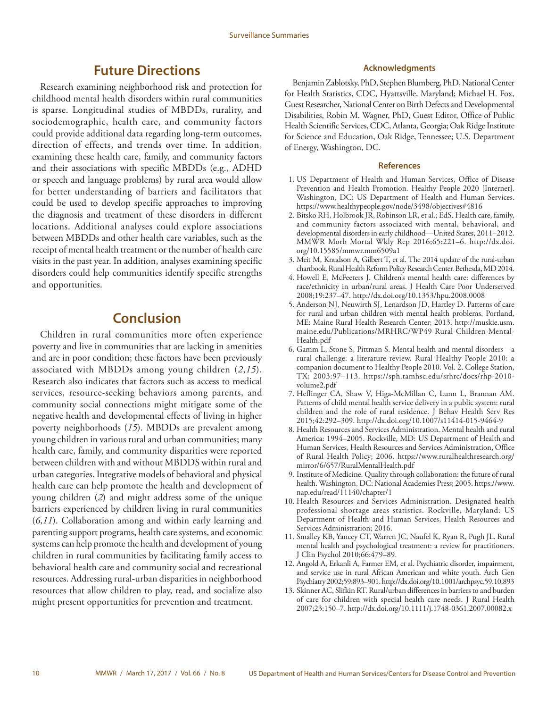### **Future Directions**

<span id="page-11-0"></span>Research examining neighborhood risk and protection for childhood mental health disorders within rural communities is sparse. Longitudinal studies of MBDDs, rurality, and sociodemographic, health care, and community factors could provide additional data regarding long-term outcomes, direction of effects, and trends over time. In addition, examining these health care, family, and community factors and their associations with specific MBDDs (e.g., ADHD or speech and language problems) by rural area would allow for better understanding of barriers and facilitators that could be used to develop specific approaches to improving the diagnosis and treatment of these disorders in different locations. Additional analyses could explore associations between MBDDs and other health care variables, such as the receipt of mental health treatment or the number of health care visits in the past year. In addition, analyses examining specific disorders could help communities identify specific strengths and opportunities.

## **Conclusion**

Children in rural communities more often experience poverty and live in communities that are lacking in amenities and are in poor condition; these factors have been previously associated with MBDDs among young children (*2*,*15*). Research also indicates that factors such as access to medical services, resource-seeking behaviors among parents, and community social connections might mitigate some of the negative health and developmental effects of living in higher poverty neighborhoods (*15*). MBDDs are prevalent among young children in various rural and urban communities; many health care, family, and community disparities were reported between children with and without MBDDS within rural and urban categories. Integrative models of behavioral and physical health care can help promote the health and development of young children (*2*) and might address some of the unique barriers experienced by children living in rural communities (*6*,*11*). Collaboration among and within early learning and parenting support programs, health care systems, and economic systems can help promote the health and development of young children in rural communities by facilitating family access to behavioral health care and community social and recreational resources. Addressing rural-urban disparities in neighborhood resources that allow children to play, read, and socialize also might present opportunities for prevention and treatment.

### **Acknowledgments**

Benjamin Zablotsky, PhD, Stephen Blumberg, PhD, National Center for Health Statistics, CDC, Hyattsville, Maryland; Michael H. Fox, Guest Researcher, National Center on Birth Defects and Developmental Disabilities, Robin M. Wagner, PhD, Guest Editor, Office of Public Health Scientific Services, CDC, Atlanta, Georgia; Oak Ridge Institute for Science and Education, Oak Ridge, Tennessee; U.S. Department of Energy, Washington, DC.

### **References**

- 1. US Department of Health and Human Services, Office of Disease Prevention and Health Promotion. Healthy People 2020 [Internet]. Washington, DC: US Department of Health and Human Services. <https://www.healthypeople.gov/node/3498/objectives#4816>
- 2. Bitsko RH, Holbrook JR, Robinson LR, et al.; EdS. Health care, family, and community factors associated with mental, behavioral, and developmental disorders in early childhood—United States, 2011–2012. MMWR Morb Mortal Wkly Rep 2016;65:221–6. [http://dx.doi.](http://dx.doi.org/10.15585/mmwr.mm6509a1) [org/10.15585/mmwr.mm6509a1](http://dx.doi.org/10.15585/mmwr.mm6509a1)
- 3. Meit M, Knudson A, Gilbert T, et al. The 2014 update of the rural-urban chartbook. Rural Health Reform Policy Research Center. Bethesda, MD 2014.
- 4. Howell E, McFeeters J. Children's mental health care: differences by race/ethnicity in urban/rural areas. J Health Care Poor Underserved 2008;19:237–47.<http://dx.doi.org/10.1353/hpu.2008.0008>
- 5. Anderson NJ, Neuwirth SJ, Lenardson JD, Hartley D. Patterns of care for rural and urban children with mental health problems. Portland, ME: Maine Rural Health Research Center; 2013. [http://muskie.usm.](http://muskie.usm.maine.edu/Publications/MRHRC/WP49-Rural-Children-Mental-Health.pdf) [maine.edu/Publications/MRHRC/WP49-Rural-Children-Mental-](http://muskie.usm.maine.edu/Publications/MRHRC/WP49-Rural-Children-Mental-Health.pdf)[Health.pdf](http://muskie.usm.maine.edu/Publications/MRHRC/WP49-Rural-Children-Mental-Health.pdf)
- 6. Gamm L, Stone S, Pittman S. Mental health and mental disorders—a rural challenge: a literature review. Rural Healthy People 2010: a companion document to Healthy People 2010. Vol. 2. College Station, TX; 2003:97–113. [https://sph.tamhsc.edu/srhrc/docs/rhp-2010](https://sph.tamhsc.edu/srhrc/docs/rhp-2010-volume2.pdf) [volume2.pdf](https://sph.tamhsc.edu/srhrc/docs/rhp-2010-volume2.pdf)
- 7. Heflinger CA, Shaw V, Higa-McMillan C, Lunn L, Brannan AM. Patterns of child mental health service delivery in a public system: rural children and the role of rural residence. J Behav Health Serv Res 2015;42:292–309. <http://dx.doi.org/10.1007/s11414-015-9464-9>
- 8. Health Resources and Services Administration. Mental health and rural America: 1994–2005. Rockville, MD: US Department of Health and Human Services, Health Resources and Services Administration, Office of Rural Health Policy; 2006. [https://www.ruralhealthresearch.org/](https://www.ruralhealthresearch.org/mirror/6/657/RuralMentalHealth.pdf) [mirror/6/657/RuralMentalHealth.pdf](https://www.ruralhealthresearch.org/mirror/6/657/RuralMentalHealth.pdf)
- 9. Institute of Medicine. Quality through collaboration: the future of rural health. Washington, DC: National Academies Press; 2005. [https://www.](https://www.nap.edu/read/11140/chapter/1) [nap.edu/read/11140/chapter/1](https://www.nap.edu/read/11140/chapter/1)
- 10. Health Resources and Services Administration. Designated health professional shortage areas statistics. Rockville, Maryland: US Department of Health and Human Services, Health Resources and Services Administration; 2016.
- 11. Smalley KB, Yancey CT, Warren JC, Naufel K, Ryan R, Pugh JL. Rural mental health and psychological treatment: a review for practitioners. J Clin Psychol 2010;66:479–89.
- 12. Angold A, Erkanli A, Farmer EM, et al. Psychiatric disorder, impairment, and service use in rural African American and white youth. Arch Gen Psychiatry 2002;59:893–901.<http://dx.doi.org/10.1001/archpsyc.59.10.893>
- 13. Skinner AC, Slifkin RT. Rural/urban differences in barriers to and burden of care for children with special health care needs. J Rural Health 2007;23:150–7.<http://dx.doi.org/10.1111/j.1748-0361.2007.00082.x>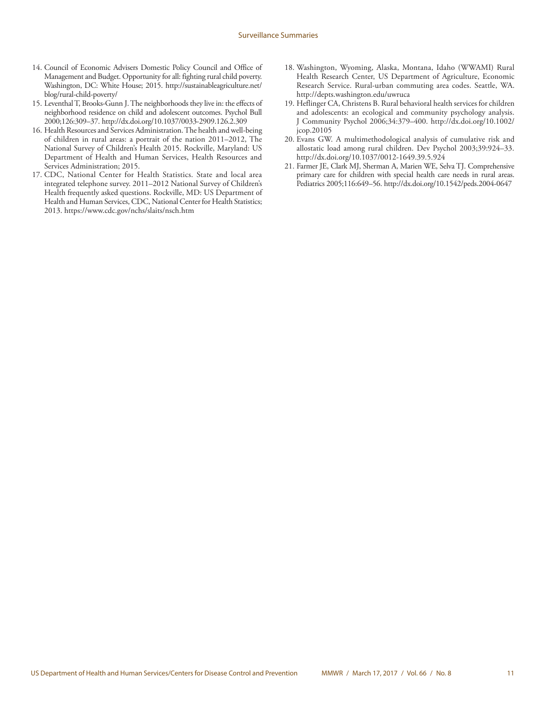- 14. Council of Economic Advisers Domestic Policy Council and Office of Management and Budget. Opportunity for all: fighting rural child poverty. Washington, DC: White House; 2015. [http://sustainableagriculture.net/](http://sustainableagriculture.net/blog/rural-child-poverty/) [blog/rural-child-poverty/](http://sustainableagriculture.net/blog/rural-child-poverty/)
- 15. Leventhal T, Brooks-Gunn J. The neighborhoods they live in: the effects of neighborhood residence on child and adolescent outcomes. Psychol Bull 2000;126:309–37.<http://dx.doi.org/10.1037/0033-2909.126.2.309>
- 16. Health Resources and Services Administration. The health and well-being of children in rural areas: a portrait of the nation 2011–2012, The National Survey of Children's Health 2015. Rockville, Maryland: US Department of Health and Human Services, Health Resources and Services Administration; 2015.
- 17. CDC, National Center for Health Statistics. State and local area integrated telephone survey. 2011–2012 National Survey of Children's Health frequently asked questions. Rockville, MD: US Department of Health and Human Services, CDC, National Center for Health Statistics; 2013. <https://www.cdc.gov/nchs/slaits/nsch.htm>
- 18. Washington, Wyoming, Alaska, Montana, Idaho (WWAMI) Rural Health Research Center, US Department of Agriculture, Economic Research Service. Rural-urban commuting area codes. Seattle, WA. <http://depts.washington.edu/uwruca>
- 19. Heflinger CA, Christens B. Rural behavioral health services for children and adolescents: an ecological and community psychology analysis. J Community Psychol 2006;34:379–400. [http://dx.doi.org/10.1002/](http://dx.doi.org/10.1002/jcop.20105) [jcop.20105](http://dx.doi.org/10.1002/jcop.20105)
- 20. Evans GW. A multimethodological analysis of cumulative risk and allostatic load among rural children. Dev Psychol 2003;39:924–33. <http://dx.doi.org/10.1037/0012-1649.39.5.924>
- 21. Farmer JE, Clark MJ, Sherman A, Marien WE, Selva TJ. Comprehensive primary care for children with special health care needs in rural areas. Pediatrics 2005;116:649–56.<http://dx.doi.org/10.1542/peds.2004-0647>